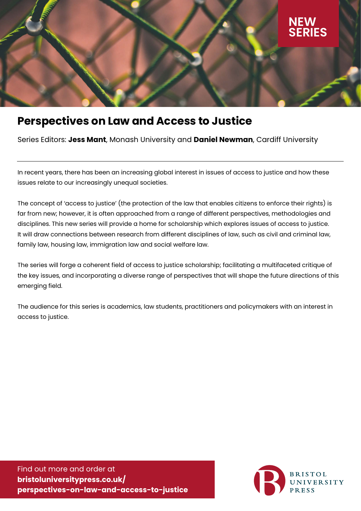

# **Perspectives on Law and Access to Justice**

Series Editors: **Jess Mant**, Monash University and **Daniel Newman**, Cardiff University

In recent years, there has been an increasing global interest in issues of access to justice and how these issues relate to our increasingly unequal societies.

The concept of 'access to justice' (the protection of the law that enables citizens to enforce their rights) is far from new; however, it is often approached from a range of different perspectives, methodologies and disciplines. This new series will provide a home for scholarship which explores issues of access to justice. It will draw connections between research from different disciplines of law, such as civil and criminal law, family law, housing law, immigration law and social welfare law.

The series will forge a coherent field of access to justice scholarship; facilitating a multifaceted critique of the key issues, and incorporating a diverse range of perspectives that will shape the future directions of this emerging field.

The audience for this series is academics, law students, practitioners and policymakers with an interest in access to justice.

Find out more and order at **bristoluniversitypress.co.uk/ perspectives-on-law-and-access-to-justice**